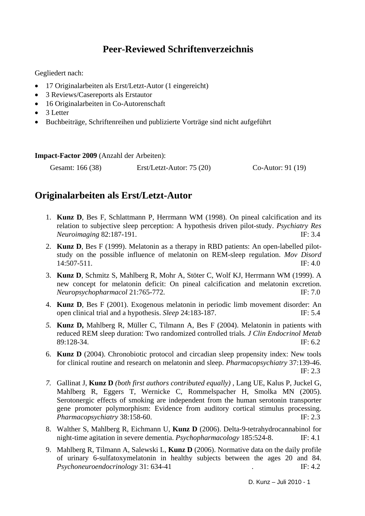# **Peer-Reviewed Schriftenverzeichnis**

Gegliedert nach:

- 17 Originalarbeiten als Erst/Letzt-Autor (1 eingereicht)
- 3 Reviews/Casereports als Erstautor
- 16 Originalarbeiten in Co-Autorenschaft
- 3 Letter
- Buchbeiträge, Schriftenreihen und publizierte Vorträge sind nicht aufgeführt

**Impact-Factor 2009** (Anzahl der Arbeiten):

Gesamt: 166 (38) Erst/Letzt-Autor: 75 (20) Co-Autor: 91 (19)

## **Originalarbeiten als Erst/Letzt-Autor**

- 1. **Kunz D**, Bes F, Schlattmann P, Herrmann WM (1998). On pineal calcification and its relation to subjective sleep perception: A hypothesis driven pilot-study. *Psychiatry Res Neuroimaging* 82:187-191. IF: 3.4
- 2. **Kunz D**, Bes F (1999). Melatonin as a therapy in RBD patients: An open-labelled pilotstudy on the possible influence of melatonin on REM-sleep regulation. *Mov Disord* 14:507-511. IF: 4.0
- 3. **Kunz D**, Schmitz S, Mahlberg R, Mohr A, Stöter C, Wolf KJ, Herrmann WM (1999). A new concept for melatonin deficit: On pineal calcification and melatonin excretion. *Neuropsychopharmacol* 21:765-772. IF: 7.0
- 4. **Kunz D**, Bes F (2001). Exogenous melatonin in periodic limb movement disorder: An open clinical trial and a hypothesis. *Sleep* 24:183-187. IF: 5.4
- *5.* **Kunz D,** Mahlberg R, Müller C, Tilmann A, Bes F (2004). Melatonin in patients with reduced REM sleep duration: Two randomized controlled trials*. J Clin Endocrinol Metab* 89:128-34. **IF:** 6.2
- 6. **Kunz D** (2004). Chronobiotic protocol and circadian sleep propensity index: New tools for clinical routine and research on melatonin and sleep. *Pharmacopsychiatry* 37:139-46. IF: 2.3
- *7.* Gallinat J, **Kunz D** *(both first authors contributed equally)* , Lang UE, Kalus P, Juckel G, Mahlberg R, Eggers T, Wernicke C, Rommelspacher H, Smolka MN (2005). Serotonergic effects of smoking are independent from the human serotonin transporter gene promoter polymorphism: Evidence from auditory cortical stimulus processing. *Pharmacopsychiatry* 38:158-60. IF: 2.3
- 8. Walther S, Mahlberg R, Eichmann U, **Kunz D** (2006). Delta-9-tetrahydrocannabinol for night-time agitation in severe dementia. *Psychopharmacology* 185:524-8.IF: 4.1
- 9. Mahlberg R, Tilmann A, Salewski L, **Kunz D** (2006). Normative data on the daily profile of urinary 6-sulfatoxymelatonin in healthy subjects between the ages 20 and 84. *Psychoneuroendocrinology* 31: 634-41 **.** IF: 4.2

D. Kunz – Juli 2010 - 1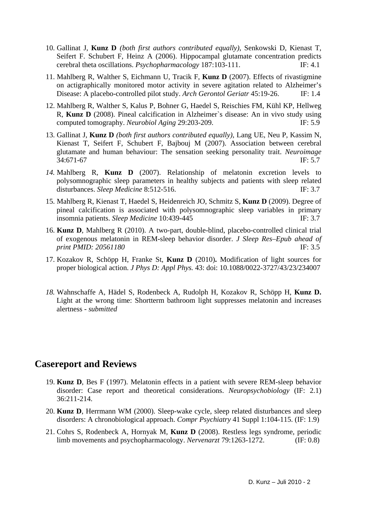- 10. Gallinat J, **Kunz D** *(both first authors contributed equally)*, Senkowski D, Kienast T, Seifert F. Schubert F, Heinz A (2006). Hippocampal glutamate concentration predicts cerebral theta oscillations. *Psychopharmacology* 187:103-111. IF: 4.1
- 11. Mahlberg R, Walther S, Eichmann U, Tracik F, **Kunz D** (2007). Effects of rivastigmine on actigraphically monitored motor activity in severe agitation related to Alzheimer's Disease: A placebo-controlled pilot study. *Arch Gerontol Geriatr* 45:19-26. IF: 1.4
- 12. Mahlberg R, Walther S, Kalus P, Bohner G, Haedel S, Reischies FM, Kühl KP, Hellweg R, **Kunz D** (2008). Pineal calcification in Alzheimer`s disease: An in vivo study using computed tomography. *Neurobiol Aging* 29:203-209. IF: 5.9
- 13. Gallinat J, **Kunz D** *(both first authors contributed equally)*, Lang UE, Neu P, Kassim N, Kienast T, Seifert F, Schubert F, Bajbouj M (2007). Association between cerebral glutamate and human behaviour: The sensation seeking personality trait. *Neuroimage*  34:671-67IF: 5.7
- *14.* Mahlberg R, **Kunz D** (2007). Relationship of melatonin excretion levels to polysomnographic sleep parameters in healthy subjects and patients with sleep related disturbances. *Sleep Medicine* 8:512-516. IF: 3.7
- 15. Mahlberg R, Kienast T, Haedel S, Heidenreich JO, Schmitz S, **Kunz D** (2009). Degree of pineal calcification is associated with polysomnographic sleep variables in primary insomnia patients. *Sleep Medicine* 10:439-445IF: 3.7
- 16. **Kunz D**, Mahlberg R (2010). A two-part, double-blind, placebo-controlled clinical trial of exogenous melatonin in REM-sleep behavior disorder. *J Sleep Res*–*Epub ahead of print PMID: 20561180* IF: 3.5
- 17. Kozakov R, Schöpp H, Franke St, **Kunz D** (2010)**.** Modification of light sources for proper biological action. *J Phys D: Appl Phys.* 43: doi: 10.1088/0022-3727/43/23/234007
- *18.* Wahnschaffe A, Hädel S, Rodenbeck A, Rudolph H, Kozakov R, Schöpp H, **Kunz D.**  Light at the wrong time: Shortterm bathroom light suppresses melatonin and increases alertness *- submitted*

#### **Casereport and Reviews**

- 19. **Kunz D**, Bes F (1997). Melatonin effects in a patient with severe REM-sleep behavior disorder: Case report and theoretical considerations. *Neuropsychobiology* (IF: 2.1) 36:211-214.
- 20. **Kunz D**, Herrmann WM (2000). Sleep-wake cycle, sleep related disturbances and sleep disorders: A chronobiological approach. *Compr Psychiatry* 41 Suppl 1:104-115. (IF: 1.9)
- 21. Cohrs S, Rodenbeck A, Hornyak M, **Kunz D** (2008). Restless legs syndrome, periodic limb movements and psychopharmacology. *Nervenarzt* 79:1263-1272. (IF: 0.8)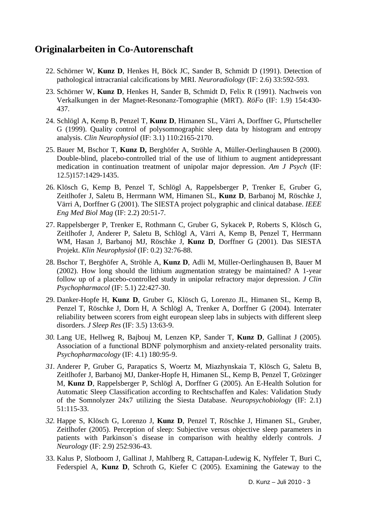## **Originalarbeiten in Co-Autorenschaft**

- 22. Schörner W, **Kunz D**, Henkes H, Böck JC, Sander B, Schmidt D (1991). Detection of pathological intracranial calcifications by MRI. *Neuroradiology* (IF: 2.6) 33:592-593.
- 23. Schörner W, **Kunz D**, Henkes H, Sander B, Schmidt D, Felix R (1991). Nachweis von Verkalkungen in der Magnet-Resonanz-Tomographie (MRT). *RöFo* (IF: 1.9) 154:430- 437.
- 24. Schlögl A, Kemp B, Penzel T, **Kunz D**, Himanen SL, Värri A, Dorffner G, Pfurtscheller G (1999). Quality control of polysomnographic sleep data by histogram and entropy analysis. *Clin Neurophysiol* (IF: 3.1) 110:2165-2170.
- 25. Bauer M, Bschor T, **Kunz D,** Berghöfer A, Ströhle A, Müller-Oerlinghausen B (2000). Double-blind, placebo-controlled trial of the use of lithium to augment antidepressant medication in continuation treatment of unipolar major depression. *Am J Psych* (IF: 12.5)157:1429-1435.
- 26. Klösch G, Kemp B, Penzel T, Schlögl A, Rappelsberger P, Trenker E, Gruber G, Zeitlhofer J, Saletu B, Herrmann WM, Himanen SL, **Kunz D**, Barbanoj M, Röschke J, Värri A, Dorffner G (2001). The SIESTA project polygraphic and clinical database. *IEEE Eng Med Biol Mag* (IF: 2.2) 20:51-7.
- 27. Rappelsberger P, Trenker E, Rothmann C, Gruber G, Sykacek P, Roberts S, Klösch G, Zeitlhofer J, Anderer P, Saletu B, Schlögl A, Värri A, Kemp B, Penzel T, Herrmann WM, Hasan J, Barbanoj MJ, Röschke J, **Kunz D**, Dorffner G (2001). Das SIESTA Projekt. *Klin Neurophysiol* (IF: 0.2) 32:76-88.
- 28. Bschor T, Berghöfer A, Ströhle A, **Kunz D**, Adli M, Müller-Oerlinghausen B, Bauer M (2002). How long should the lithium augmentation strategy be maintained? A 1-year follow up of a placebo-controlled study in unipolar refractory major depression. *J Clin Psychopharmacol* (IF: 5.1) 22:427-30.
- 29. Danker-Hopfe H, **Kunz D**, Gruber G, Klösch G, Lorenzo JL, Himanen SL, Kemp B, Penzel T, Röschke J, Dorn H, A Schlögl A, Trenker A, Dorffner G (2004). Interrater reliability between scorers from eight european sleep labs in subjects with different sleep disorders. *J Sleep Res* (IF: 3.5) 13:63-9.
- *30.* Lang UE, Hellweg R, Bajbouj M, Lenzen KP, Sander T, **Kunz D**, Gallinat J (2005). Association of a functional BDNF polymorphism and anxiety-related personality traits. *Psychopharmacology* (IF: 4.1) 180:95-9.
- *31.* Anderer P, Gruber G, Parapatics S, Woertz M, Miazhynskaia T, Klösch G, Saletu B, Zeitlhofer J, Barbanoj MJ, Danker-Hopfe H, Himanen SL, Kemp B, Penzel T, Grözinger M, **Kunz D**, Rappelsberger P, Schlögl A, Dorffner G (2005). An E-Health Solution for Automatic Sleep Classification according to Rechtschaffen and Kales: Validation Study of the Somnolyzer 24x7 utilizing the Siesta Database. *Neuropsychobiology* (IF: 2.1) 51:115-33.
- *32.* Happe S, Klösch G, Lorenzo J, **Kunz D**, Penzel T, Röschke J, Himanen SL, Gruber, Zeitlhofer (2005). Perception of sleep: Subjective versus objective sleep parameters in patients with Parkinson`s disease in comparison with healthy elderly controls. *J Neurology* (IF: 2.9) 252:936-43.
- 33. Kalus P, Slotboom J, Gallinat J, Mahlberg R, Cattapan-Ludewig K, Nyffeler T, Buri C, Federspiel A, **Kunz D**, Schroth G, Kiefer C (2005). Examining the Gateway to the